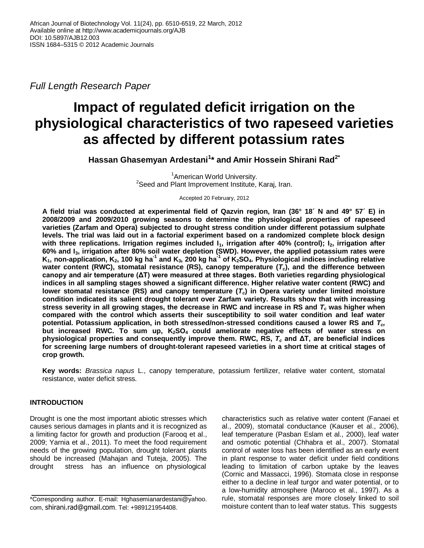*Full Length Research Paper*

# **Impact of regulated deficit irrigation on the physiological characteristics of two rapeseed varieties as affected by different potassium rates**

**Hassan Ghasemyan Ardestani<sup>1</sup> \* and Amir Hossein Shirani Rad2\***

<sup>1</sup> American World University. <sup>2</sup>Seed and Plant Improvement Institute, Karaj, Iran.

Accepted 20 February, 2012

**A field trial was conducted at experimental field of Qazvin region, Iran (36° 18´ N and 49° 57´ E) in 2008/2009 and 2009/2010 growing seasons to determine the physiological properties of rapeseed varieties (Zarfam and Opera) subjected to drought stress condition under different potassium sulphate levels. The trial was laid out in a factorial experiment based on a randomized complete block design with three replications. Irrigation regimes included I1, irrigation after 40% (control); I2, irrigation after 60% and I3, irrigation after 80% soil water depletion (SWD). However, the applied potassium rates were**   $K_1$ , non-application,  $K_2$ , 100 kg ha $^{-1}$  and  $K_3$ , 200 kg ha $^{-1}$  of  $K_2$ SO<sub>4</sub>. Physiological indices including relative **water content (RWC), stomatal resistance (RS), canopy temperature (***Tc***), and the difference between canopy and air temperature (ΔT) were measured at three stages. Both varieties regarding physiological indices in all sampling stages showed a significant difference. Higher relative water content (RWC) and lower stomatal resistance (RS) and canopy temperature (***Tc***) in Opera variety under limited moisture condition indicated its salient drought tolerant over Zarfam variety. Results show that with increasing stress severity in all growing stages, the decrease in RWC and increase in RS and** *T<sup>c</sup>* **was higher when compared with the control which asserts their susceptibility to soil water condition and leaf water potential. Potassium application, in both stressed/non-stressed conditions caused a lower RS and** *Tc,* **but increased RWC. To sum up, K2SO4 could ameliorate negative effects of water stress on physiological properties and consequently improve them. RWC, RS,** *T<sup>c</sup>* **and ΔT, are beneficial indices for screening large numbers of drought-tolerant rapeseed varieties in a short time at critical stages of crop growth.**

**Key words:** *Brassica napus* L., canopy temperature, potassium fertilizer, relative water content, stomatal resistance, water deficit stress.

# **INTRODUCTION**

Drought is one the most important abiotic stresses which causes serious damages in plants and it is recognized as a limiting factor for growth and production (Farooq et al., 2009; Yarnia et al., 2011). To meet the food requirement needs of the growing population, drought tolerant plants should be increased (Mahajan and Tuteja, 2005). The drought stress has an influence on physiological characteristics such as relative water content (Fanaei et al., 2009), stomatal conductance (Kauser et al., 2006), leaf temperature (Pasban Eslam et al., 2000), leaf water and osmotic potential (Chhabra et al., 2007). Stomatal control of water loss has been identified as an early event in plant response to water deficit under field conditions leading to limitation of carbon uptake by the leaves (Cornic and Massacci, 1996). Stomata close in response either to a decline in leaf turgor and water potential, or to a low-humidity atmosphere (Maroco et al., 1997). As a rule, stomatal responses are more closely linked to soil moisture content than to leaf water status. This suggests

<sup>\*</sup>Corresponding author. E-mail: Hghasemianardestani@yahoo. com, shirani.rad@gmail.com. Tel: +989121954408.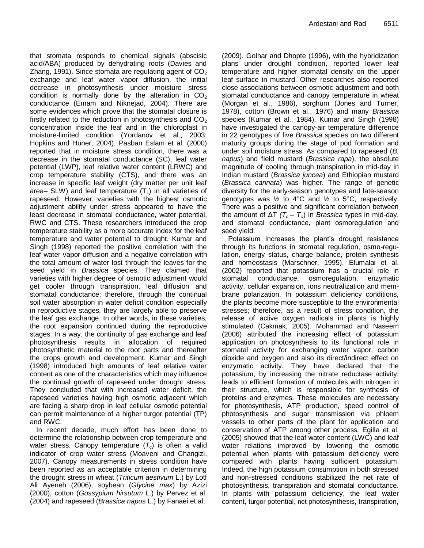that stomata responds to chemical signals (abscisic acid/ABA) produced by dehydrating roots (Davies and Zhang, 1991). Since stomata are regulating agent of  $CO<sub>2</sub>$ exchange and leaf water vapor diffusion, the initial decrease in photosynthesis under moisture stress condition is normally done by the alteration in  $CO<sub>2</sub>$ conductance (Emam and Niknejad, 2004). There are some evidences which prove that the stomatal closure is firstly related to the reduction in photosynthesis and  $CO<sub>2</sub>$ concentration inside the leaf and in the chloroplast in moisture-limited condition (Yordanov et al., 2003; Hopkins and Hüner, 2004). Pasban Eslam et al. (2000) reported that in moisture stress condition, there was a decrease in the stomatal conductance (SC), leaf water potential (LWP), leaf relative water content (LRWC) and crop temperature stability (CTS), and there was an increase in specific leaf weight (dry matter per unit leaf area– SLW) and leaf temperature  $(T<sub>L</sub>)$  in all varieties of rapeseed. However, varieties with the highest osmotic adjustment ability under stress appeared to have the least decrease in stomatal conductance, water potential, RWC and CTS. These researchers introduced the crop temperature stability as a more accurate index for the leaf temperature and water potential to drought. Kumar and Singh (1998) reported the positive correlation with the leaf water vapor diffusion and a negative correlation with the total amount of water lost through the leaves for the seed yield in *Brassica* species. They claimed that varieties with higher degree of osmotic adjustment would get cooler through transpiration, leaf diffusion and stomatal conductance; therefore, through the continual soil water absorption in water deficit condition especially in reproductive stages, they are largely able to preserve the leaf gas exchange. In other words, in these varieties, the root expansion continued during the reproductive stages. In a way, the continuity of gas exchange and leaf photosynthesis results in allocation of required photosynthetic material to the root parts and thereafter the crops growth and development. Kumar and Singh (1998) introduced high amounts of leaf relative water content as one of the characteristics which may influence the continual growth of rapeseed under drought stress. They concluded that with increased water deficit, the rapeseed varieties having high osmotic adjacent which are facing a sharp drop in leaf cellular osmotic potential can permit maintenance of a higher turgor potential (TP) and RWC.

In recent decade, much effort has been done to determine the relationship between crop temperature and water stress. Canopy temperature (*Tc*) is often a valid indicator of crop water stress (Moaveni and Changizi, 2007). Canopy measurements in stress condition have been reported as an acceptable criterion in determining the drought stress in wheat (*Triticum aestivum* L.) by Lotf Ali Ayeneh (2006), soybean (*Glycine max*) by Azizi (2000), cotton (*Gossypium hirsutum* L.) by Pervez et al. (2004) and rapeseed (*Brassica napus* L.) by Fanaei et al.

(2009). Golhar and Dhopte (1996), with the hybridization plans under drought condition, reported lower leaf temperature and higher stomatal density on the upper leaf surface in mustard. Other researches also reported close associations between osmotic adjustment and both stomatal conductance and canopy temperature in wheat (Morgan et al., 1986), sorghum (Jones and Turner, 1978), cotton (Brown et al., 1976) and many *Brassica*  species (Kumar et al., 1984). Kumar and Singh (1998) have investigated the canopy-air temperature difference in 22 genotypes of five *Brassica* species on two different maturity groups during the stage of pod formation and under soil moisture stress. As compared to rapeseed (*B. napus*) and field mustard (*Brassica rapa*), the absolute magnitude of cooling through transpiration in mid-day in Indian mustard (*Brassica juncea*) and Ethiopian mustard (*Brassica carinata*) was higher. The range of genetic diversity for the early-season genotypes and late-season genotypes was  $\frac{1}{2}$  to 4°C and  $\frac{1}{2}$  to 5°C, respectively. There was a positive and significant correlation between the amount of  $ΔT$   $(T_c - T_a)$  in *Brassica* types in mid-day, and stomatal conductance, plant osmoregulation and seed yield.

Potassium increases the plant's drought resistance through its functions in stomatal regulation, osmo-regulation, energy status, charge balance, protein synthesis and homeostasis (Marschner, 1995). Elumalai et al. (2002) reported that potassium has a crucial role in stomatal conductance, osmoregulation, enzymatic activity, cellular expansion, ions neutralization and membrane polarization. In potassium deficiency conditions, the plants become more susceptible to the environmental stresses; therefore, as a result of stress condition, the release of active oxygen radicals in plants is highly stimulated (Cakmak, 2005). Mohammad and Naseem (2006) attributed the increasing effect of potassium application on photosynthesis to its functional role in stomatal activity for exchanging water vapor, carbon dioxide and oxygen and also its direct/indirect effect on enzymatic activity. They have declared that the potassium, by increasing the nitrate reductase activity, leads to efficient formation of molecules with nitrogen in their structure, which is responsible for synthesis of proteins and enzymes. These molecules are necessary for photosynthesis, ATP production, speed control of photosynthesis and sugar transmission via phloem vessels to other parts of the plant for application and conservation of ATP among other process. Egilla et al. (2005) showed that the leaf water content (LWC) and leaf water relations improved by lowering the osmotic potential when plants with potassium deficiency were compared with plants having sufficient potassium. Indeed, the high potassium consumption in both stressed and non-stressed conditions stabilized the net rate of photosynthesis, transpiration and stomatal conductance. In plants with potassium deficiency, the leaf water content, turgor potential, net photosynthesis, transpiration,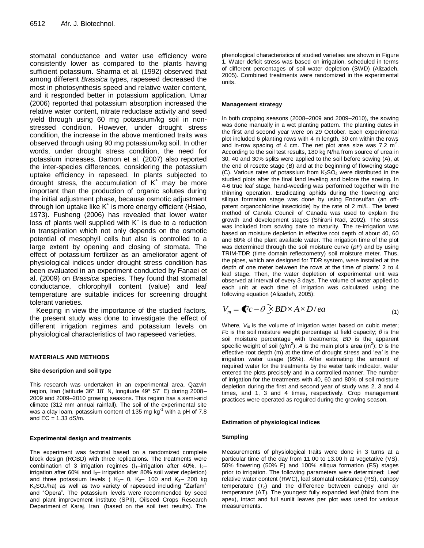stomatal conductance and water use efficiency were consistently lower as compared to the plants having sufficient potassium. Sharma et al. (1992) observed that among different *Brassica* types, rapeseed decreased the most in photosynthesis speed and relative water content, and it responded better in potassium application. Umar (2006) reported that potassium absorption increased the relative water content, nitrate reductase activity and seed yield through using 60 mg potassium/kg soil in nonstressed condition. However, under drought stress condition, the increase in the above mentioned traits was observed through using 90 mg potassium/kg soil. In other words, under drought stress condition, the need for potassium increases. Damon et al. (2007) also reported the inter-species differences, considering the potassium uptake efficiency in rapeseed. In plants subjected to drought stress, the accumulation of  $K^+$  may be more important than the production of organic solutes during the initial adjustment phase, because osmotic adjustment through ion uptake like K<sup>+</sup> is more energy efficient (Hsiao, 1973). Fusheng (2006) has revealed that lower water loss of plants well supplied with  $K^+$  is due to a reduction in transpiration which not only depends on the osmotic potential of mesophyll cells but also is controlled to a large extent by opening and closing of stomata. The effect of potassium fertilizer as an ameliorator agent of physiological indices under drought stress condition has been evaluated in an experiment conducted by Fanaei et al. (2009) on *Brassica* species. They found that stomatal conductance, chlorophyll content (value) and leaf temperature are suitable indices for screening drought tolerant varieties.

Keeping in view the importance of the studied factors, the present study was done to investigate the effect of different irrigation regimes and potassium levels on physiological characteristics of two rapeseed varieties.

# **MATERIALS AND METHODS**

# **Site description and soil type**

This research was undertaken in an experimental area, Qazvin region, Iran (latitude 36° 18´ N, longitude 49° 57´ E) during 2008– 2009 and 2009–2010 growing seasons. This region has a semi-arid climate (312 mm annual rainfall). The soil of the experimental site was a clay loam, potassium content of 135 mg kg<sup>-1</sup> with a pH of 7.8 and  $EC = 1.33$  dS/m.

# **Experimental design and treatments**

The experiment was factorial based on a randomized complete block design (RCBD) with three replications*.* The treatments were combination of 3 irrigation regimes ( $I_1$ –irrigation after 40%,  $I_2$ – irrigation after 60% and  $I_3$ - irrigation after 80% soil water depletion) and three potassium levels ( $K_1$ – 0,  $K_2$ – 100 and  $K_3$ – 200 kg K2SO4/ha) as well as two variety of rapeseed including "Zarfam" and "Opera". The potassium levels were recommended by seed and plant improvement institute (SPII), Oilseed Crops Research Department of Karaj, Iran (based on the soil test results). The

phenological characteristics of studied varieties are shown in Figure 1. Water deficit stress was based on irrigation, scheduled in terms of different percentages of soil water depletion (SWD) (Alizadeh, 2005). Combined treatments were randomized in the experimental units.

## **Management strategy**

In both cropping seasons (2008–2009 and 2009–2010), the sowing was done manually in a wet planting pattern. The planting dates in the first and second year were on 29 October. Each experimental plot included 6 planting rows with 4 m length, 30 cm within the rows and in-row spacing of 4 cm. The net plot area size was 7.2  $m^2$ . According to the soil test results, 180 kg N/ha from source of urea in 30, 40 and 30% splits were applied to the soil before sowing (A), at the end of rosette stage (B) and at the beginning of flowering stage (C). Various rates of potassium from  $K_2SO_4$  were distributed in the studied plots after the final land leveling and before the sowing. In 4-6 true leaf stage, hand-weeding was performed together with the thinning operation. Eradicating aphids during the flowering and siliqua formation stage was done by using Endosulfan (an offpatent organochlorine insecticide) by the rate of 2 ml/L. The latest method of Canola Council of Canada was used to explain the growth and development stages (Shirani Rad, 2002). The stress was included from sowing date to maturity. The re-irrigation was based on moisture depletion in effective root depth of about 40, 60 and 80% of the plant available water. The irrigation time of the plot was determined through the soil moisture curve (*pF*) and by using TRIM-TDR (time domain reflectometry) soil moisture meter. Thus, the pipes, which are designed for TDR system, were installed at the depth of one meter between the rows at the time of plants' 2 to 4 leaf stage. Then, the water depletion of experimental unit was observed at interval of every 3 days. The volume of water applied to each unit at each time of irrigation was calculated using the following equation (Alizadeh, 2005):

$$
V_m = \bigcirc c - \theta \ge BD \times A \times D / ea \tag{1}
$$

Where, *V<sup>m</sup>* is the volume of irrigation water based on cubic meter; *F*c is the soil moisture weight percentage at field capacity; *θ* is the soil moisture percentage with treatments; *BD* is the apparent specific weight of soil  $(g/m^2)$ ; *A* is the main plot's area  $(m^2)$ ; *D* is the effective root depth (m) at the time of drought stress and '*ea'* is the irrigation water usage (95%). After estimating the amount of required water for the treatments by the water tank indicator, water entered the plots precisely and in a controlled manner. The number of irrigation for the treatments with 40, 60 and 80% of soil moisture depletion during the first and second year of study was 2, 3 and 4 times, and 1, 3 and 4 times, respectively. Crop management practices were operated as reguired during the growing season.

# **Estimation of physiological indices**

# **Sampling**

Measurements of physiological traits were done in 3 turns at a particular time of the day from 11.00 to 13.00 h at vegetative (VS), 50% flowering (50% F) and 100% siliqua formation (FS) stages prior to irrigation. The following parameters were determined: Leaf relative water content (RWC), leaf stomatal resistance (RS), canopy temperature (*Tc*) and the difference between canopy and air temperature (ΔT). The youngest fully expanded leaf (third from the apex), intact and full sunlit leaves per plot was used for various measurements.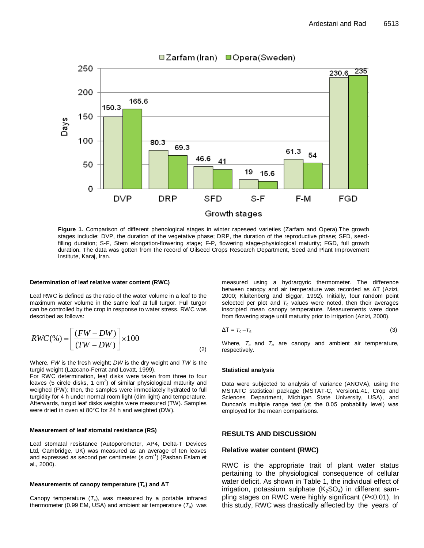

**□Zarfam (Iran)** □Opera (Sweden)

**Figure 1.** Comparison of different phenological stages in winter rapeseed varieties (Zarfam and Opera).The growth stages includie: DVP, the duration of the vegetative phase; DRP, the duration of the reproductive phase; SFD, seedfilling duration; S-F, Stem elongation-flowering stage; F-P, flowering stage-physiological maturity; FGD, full growth duration. The data was gotten from the record of Oilseed Crops Research Department, Seed and Plant Improvement Institute, Karaj, Iran.

#### **Determination of leaf relative water content (RWC)**

Leaf RWC is defined as the ratio of the water volume in a leaf to the maximum water volume in the same leaf at full turgor. Full turgor can be controlled by the crop in response to water stress. RWC was described as follows:

$$
RWC(\%) = \left[ \frac{(FW - DW)}{(TW - DW)} \right] \times 100
$$
 (2)

Where, *FW* is the fresh weight; *DW* is the dry weight and *TW* is the turgid weight (Lazcano-Ferrat and Lovatt, 1999).

For RWC determination, leaf disks were taken from three to four leaves (5 circle disks, 1 cm<sup>2</sup>) of similar physiological maturity and weighed (FW); then, the samples were immediately hydrated to full turgidity for 4 h under normal room light (dim light) and temperature. Afterwards, turgid leaf disks weights were measured (TW). Samples were dried in oven at 80°C for 24 h and weighted (DW).

### **Measurement of leaf stomatal resistance (RS)**

Leaf stomatal resistance (Autoporometer, AP4, Delta-T Devices Ltd, Cambridge, UK) was measured as an average of ten leaves and expressed as second per centimeter (s cm<sup>-1</sup>) (Pasban Eslam et al., 2000).

#### **Measurements of canopy temperature (***Tc***) and ΔT**

Canopy temperature  $(T_c)$ , was measured by a portable infrared thermometer (0.99 EM, USA) and ambient air temperature (*Ta*) was measured using a hydrargyric thermometer. The difference between canopy and air temperature was recorded as ΔT (Azizi, 2000; Kluitenberg and Biggar, 1992). Initially, four random point selected per plot and  $T_c$  values were noted, then their averages inscripted mean canopy temperature. Measurements were done from flowering stage until maturity prior to irrigation (Azizi, 2000).

$$
\Delta T = T_c - T_a \tag{3}
$$

Where, *T<sup>c</sup>* and *T<sup>a</sup>* are canopy and ambient air temperature, respectively.

#### **Statistical analysis**

Data were subjected to analysis of variance (ANOVA), using the MSTATC statistical package (MSTAT-C, Version1.41, Crop and Sciences Department, Michigan State University, USA), and Duncan's multiple range test (at the 0.05 probability level) was employed for the mean comparisons.

# **RESULTS AND DISCUSSION**

## **Relative water content (RWC)**

RWC is the appropriate trait of plant water status pertaining to the physiological consequence of cellular water deficit. As shown in Table 1, the individual effect of irrigation, potassium sulphate  $(K_2SO_4)$  in different sampling stages on RWC were highly significant (*P*<0.01). In this study, RWC was drastically affected by the years of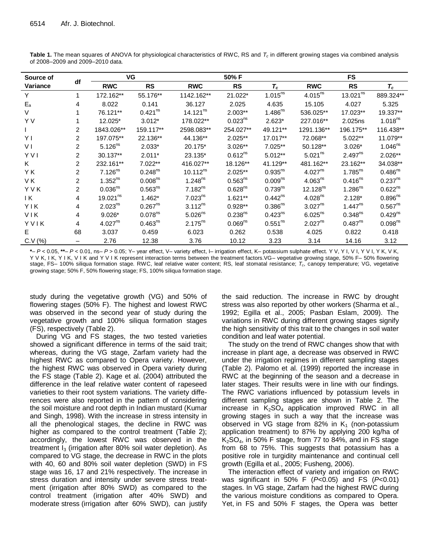| Source of<br>Variance |                | VG                   |                     |               | 50% F               |                       | <b>FS</b>            |                      |                     |  |
|-----------------------|----------------|----------------------|---------------------|---------------|---------------------|-----------------------|----------------------|----------------------|---------------------|--|
|                       | df             | <b>RWC</b>           | <b>RS</b>           | <b>RWC</b>    | <b>RS</b>           | $T_c$                 | <b>RWC</b>           | <b>RS</b>            | $T_c$               |  |
| Y                     |                | 172.162**            | 55.176**            | 1142.162**    | 21.022*             | $1.015^{ns}$          | $4.015^{ns}$         | 13.021 <sup>ns</sup> | 889.324**           |  |
| $E_{a}$               | 4              | 8.022                | 0.141               | 36.127        | 2.025               | 4.635                 | 15.105               | 4.027                | 5.325               |  |
| V                     |                | 76.121**             | $0.421^{ns}$        | $14.121^{ns}$ | $2.003**$           | $1.486^{ns}$          | 536.025**            | 17.023**             | 19.337**            |  |
| Y V                   |                | 12.025*              | $3.012*$            | 178.022**     | $0.023^{ns}$        | $2.623*$              | 227.016**            | 2.025ns              | 1.018 <sup>ns</sup> |  |
|                       | 2              | 1843.026**           | 159.117**           | 2598.083**    | 254.027**           | 49.121**              | 1291.136**           | 196.175**            | 116.438**           |  |
| YI                    | $\mathcal{P}$  | 197.075**            | 22.136**            | 44.136**      | $2.025**$           | 17.017**              | 72.068**             | $5.022**$            | 11.079**            |  |
| V <sub>1</sub>        | $\overline{2}$ | $5.126^{ns}$         | $2.033*$            | 20.175*       | $3.026**$           | $7.025**$             | $50.128**$           | $3.026*$             | $1.046^{ns}$        |  |
| <b>YVI</b>            | $\overline{2}$ | 30.137**             | $2.011*$            | 23.135*       | $0.612^{ns}$        | $5.012**$             | $5.021^{ns}$         | $2.497^{ns}$         | 2.026**             |  |
| K                     | $\overline{2}$ | 232.161**            | $7.022**$           | 416.027**     | 18.126**            | 41.129**              | 481.162**            | 23.162**             | 34.038**            |  |
| Y K                   | $\overline{2}$ | $7.126^{ns}$         | $0.248^{ns}$        | $10.112^{ns}$ | $2.025**$           | $0.935^{ns}$          | 4.027 <sup>ns</sup>  | $1.785^{ns}$         | $0.486^{ns}$        |  |
| VK.                   | $\overline{2}$ | $1.352^{ns}$         | 0.008 <sup>ns</sup> | $1.248^{ns}$  | $0.563^{ns}$        | 0.009 <sup>ns</sup>   | $4.063^{ns}$         | $0.416^{ns}$         | 0.237 <sup>ns</sup> |  |
| YVK                   | $\overline{2}$ | 0.036 <sup>ns</sup>  | $0.563^{ns}$        | $7.182^{ns}$  | $0.628^{ns}$        | $0.739^{ns}$          | 12.128 <sup>ns</sup> | $1.286^{ns}$         | $0.622^{ns}$        |  |
| ΙK                    | 4              | 19.021 <sup>ns</sup> | $1.462*$            | $7.023^{ns}$  | $1.621**$           | $0.442^{ns}$          | $4.028^{ns}$         | $2.128*$             | $0.896^{ns}$        |  |
| <b>YIK</b>            | 4              | $2.023^{ns}$         | $0.267^{ns}$        | $3.112^{ns}$  | $0.928**$           | $0.386$ <sup>ns</sup> | $3.027^{ns}$         | $1.447^{ns}$         | $0.567^{ns}$        |  |
| VIK                   | 4              | $9.026*$             | 0.078 <sup>ns</sup> | $5.026^{ns}$  | 0.238 <sup>ns</sup> | $0.423^{ns}$          | $6.025^{ns}$         | $0.348^{ns}$         | $0.429^{ns}$        |  |
| YVIK                  | 4              | 4.027 <sup>ns</sup>  | $0.463^{ns}$        | $2.175^{ns}$  | $0.069^{ns}$        | 0.551 <sup>ns</sup>   | 2.027 <sup>ns</sup>  | $0.487^{ns}$         | 0.098 <sup>ns</sup> |  |
| E.                    | 68             | 3.037                | 0.459               | 6.023         | 0.262               | 0.538                 | 4.025                | 0.822                | 0.418               |  |
| C.V (%)               |                | 2.76                 | 12.38               | 3.76          | 10.12               | 3.23                  | 3.14                 | 14.16                | 3.12                |  |

Table 1. The mean squares of ANOVA for physiological characteristics of RWC, RS and  $T_c$  in different growing stages via combined analysis of 2008-2009 and 2009-2010 data.

\*- P < 0.05, \*\*- P < 0.01, ns- P > 0.05; Y- year effect, V- variety effect, I- irrigation effect, K- potassium sulphate effect. Y V, Y I, V I, V I, Y V, Y K, V K, Y V K, I K, Y I K, V I K and Y V I K represent interaction terms between the treatment factors. VG- vegetative growing stage, 50% F- 50% flowering stage, FS- 100% siliqua formation stage. RWC, leaf relative water content; RS, leaf stomatal resistance;  $T_c$ , canopy temperature; VG, vegetative growing stage; 50% F, 50% flowering stage; FS, 100% siliqua formation stage.

study during the vegetative growth (VG) and 50% of flowering stages (50% F). The highest and lowest RWC was observed in the second year of study during the vegetative growth and 100% siliqua formation stages (FS), respectively (Table 2).

During VG and FS stages, the two tested varieties showed a significant difference in terms of the said trait; whereas, during the VG stage, Zarfam variety had the highest RWC as compared to Opera variety. However, the highest RWC was observed in Opera variety during the FS stage (Table 2). Kage et al. (2004) attributed the difference in the leaf relative water content of rapeseed varieties to their root system variations. The variety differences were also reported in the pattern of considering the soil moisture and root depth in Indian mustard (Kumar and Singh, 1998). With the increase in stress intensity in all the phenological stages, the decline in RWC was higher as compared to the control treatment (Table 2); accordingly, the lowest RWC was observed in the treatment  $I_3$  (irrigation after 80% soil water depletion). As compared to VG stage, the decrease in RWC in the plots with 40, 60 and 80% soil water depletion (SWD) in FS stage was 16, 17 and 21% respectively. The increase in stress duration and intensity under severe stress treatment (irrigation after 80% SWD) as compared to the control treatment (irrigation after 40% SWD) and moderate stress (irrigation after 60% SWD), can justify the said reduction. The increase in RWC by drought stress was also reported by other workers (Sharma et al., 1992; Egilla et al., 2005; Pasban Eslam, 2009). The variations in RWC during different growing stages signify the high sensitivity of this trait to the changes in soil water condition and leaf water potential.

The study on the trend of RWC changes show that with increase in plant age, a decrease was observed in RWC under the irrigation regimes in different sampling stages (Table 2). Palomo et al. (1999) reported the increase in RWC at the beginning of the season and a decrease in later stages. Their results were in line with our findings. The RWC variations influenced by potassium levels in different sampling stages are shown in Table 2. The increase in  $K_2SO_4$  application improved RWC in all growing stages in such a way that the increase was observed in VG stage from 82% in  $K_1$  (non-potassium application treatment) to 87% by applying 200 kg/ha of  $K<sub>2</sub>SO<sub>4</sub>$ , in 50% F stage, from 77 to 84%, and in FS stage from 68 to 75%. This suggests that potassium has a positive role in turgidity maintenance and continual cell growth (Egilla et al., 2005; Fusheng, 2006).

The interaction effect of variety and irrigation on RWC was significant in 50% F ( $P<0.05$ ) and FS ( $P<0.01$ ) stages. In VG stage, Zarfam had the highest RWC during the various moisture conditions as compared to Opera. Yet, in FS and 50% F stages, the Opera was better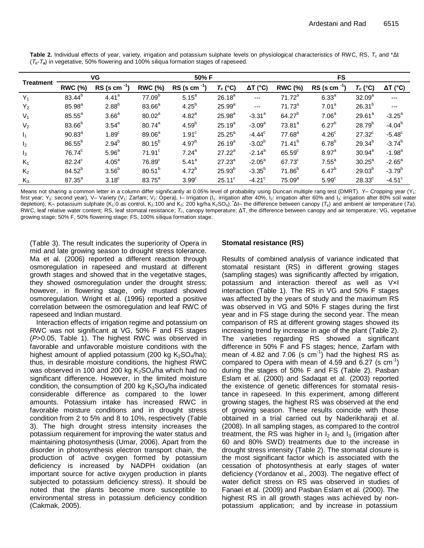| <b>Treatment</b> | VG                 |                      | 50% F              |                   |                 |                      | <b>FS</b>            |                   |                 |                      |  |
|------------------|--------------------|----------------------|--------------------|-------------------|-----------------|----------------------|----------------------|-------------------|-----------------|----------------------|--|
|                  | <b>RWC (%)</b>     | $RS$ (s cm $^{-1}$ ) | <b>RWC (%)</b>     | RS (s cm          | $T_c$ (°C)      | $\Delta T$ (°C)      | <b>RWC (%)</b>       | RS (s cm          | $T_c$ (°C)      | $\Delta T$ (°C)      |  |
| $Y_1$            | 83.44 <sup>b</sup> | 4.41 <sup>a</sup>    | 77.09 <sup>b</sup> | 5.15 <sup>a</sup> | $26.18^{a}$     | $---$                | $71.72^a$            | 6.33 <sup>a</sup> | $32.09^{a}$     | ---                  |  |
| $Y_2$            | $85.98^{a}$        | $2.88^{b}$           | $83.66^a$          | $4.25^{b}$        | $25.99^{a}$     | $---$                | $71.73^a$            | 7.01 <sup>a</sup> | $26.31^{b}$     | $---$                |  |
| $V_1$            | $85.55^{\circ}$    | 3.66 <sup>a</sup>    | 80.02 <sup>a</sup> | 4.82 <sup>a</sup> | $25.98^{a}$     | $-3.31$ <sup>a</sup> | $64.27^{b}$          | 7.06 <sup>a</sup> | $29.61^a$       | $-3.25^{\circ}$      |  |
| V <sub>2</sub>   | $83.66^{b}$        | 3.54 <sup>a</sup>    | $80.74^{a}$        | 4.59 <sup>b</sup> | $25.19^{a}$     | $-3.09^a$            | $73.81^a$            | $6.27^{b}$        | $28.79^{b}$     | $-4.04^{b}$          |  |
| $I_1$            | $90.83^{a}$        | 1.89 <sup>c</sup>    | 89.06 <sup>a</sup> | 1.91 <sup>c</sup> | $25.25^{\circ}$ | $-4.44^c$            | $77.68^a$            | 4.26 <sup>c</sup> | $27.32^c$       | $-5.48^{\circ}$      |  |
| $\mathsf{I}_2$   | $86.55^{b}$        | $2.94^{b}$           | $80.15^{b}$        | $4.97^{b}$        | $26.19^{a}$     | $-3.02^{b}$          | $71.41^{b}$          | 6.78 <sup>b</sup> | $29.34^{b}$     | $-3.74^{b}$          |  |
| $I_3$            | 76.74°             | 5.96 <sup>a</sup>    | 71.91 <sup>c</sup> | 7.24 <sup>a</sup> | $27.22^a$       | $-2.14^a$            | $65.59$ <sup>c</sup> | 8.97 <sup>a</sup> | $30.94^a$       | $-1.98$ <sup>a</sup> |  |
| $K_1$            | 82.24°             | 4.05 <sup>a</sup>    | 76.89 <sup>c</sup> | 5.41 <sup>a</sup> | $27.23^{a}$     | $-2.05^{\circ}$      | $67.73^c$            | $7.55^a$          | $30.25^{\circ}$ | $-2.65^{\circ}$      |  |
| $K_2$            | $84.52^{b}$        | 3.56 <sup>b</sup>    | $80.51^{b}$        | $4.72^{b}$        | $25.93^{b}$     | $-3.35^{b}$          | $71.86^{b}$          | $6.47^{b}$        | $29.03^{b}$     | $-3.79^{b}$          |  |
| $K_3$            | 87.35 <sup>a</sup> | 3.18 <sup>c</sup>    | 83.75 <sup>a</sup> | 3.99 <sup>c</sup> | $25.11^c$       | $-4.21$ <sup>c</sup> | 75.09 <sup>a</sup>   | 5.99 <sup>c</sup> | $28.33^c$       | $-4.51$ <sup>c</sup> |  |

Table 2. Individual effects of year, variety, irrigation and potassium sulphate levels on physiological characteristics of RWC, RS,  $T_c$  and  $* \Delta t$  $(T_c - T_a)$  in vegetative, 50% flowering and 100% siliqua formation stages of rapeseed.

Means not sharing a common letter in a column differ significantly at 0.05% level of probability using Duncan multiple rang test (DMRT). Y- Cropping year (Y<sub>1</sub>: first year; Y<sub>2</sub>: second year), V- Variety (V<sub>1</sub>: Zarfam; V<sub>2</sub>: Opera), I- Irrigation (I<sub>1</sub>: irrigation after 40%, I<sub>2</sub>: irrigation after 60% and I<sub>3</sub>: irrigation after 80% soil water depletion), K- potassium sulphate (K<sub>1</sub>:0 as control, K<sub>2</sub>:100 and K<sub>3</sub>: 200 kg/ha K<sub>2</sub>SO<sub>4</sub>). At- the difference between canopy (T<sub>c</sub>) and ambient air temperature (Ta). RWC, leaf relative water content; RS, leaf stomatal resistance;  $T_c$ , canopy temperature;  $\Delta T$ , the difference between canopy and air temperature; VG, vegetative growing stage; 50% F, 50% flowering stage; FS, 100% siliqua formation stage.

(Table 3). The result indicates the superiority of Opera in mid and late growing season to drought stress tolerance. Ma et al. (2006) reported a different reaction through osmoregulation in rapeseed and mustard at different growth stages and showed that in the vegetative stages, they showed osmoregulation under the drought stress; however, in flowering stage, only mustard showed osmoregulation. Wright et al. (1996) reported a positive correlation between the osmoregulation and leaf RWC of rapeseed and Indian mustard.

Interaction effects of irrigation regime and potassium on RWC was not significant at VG, 50% F and FS stages (P>0.05, Table 1). The highest RWC was observed in favorable and unfavorable moisture conditions with the highest amount of applied potassium (200 kg  $K_2SO_4/ha$ ); thus, in desirable moisture conditions, the highest RWC was observed in 100 and 200 kg  $K_2SO_4/ha$  which had no significant difference. However, in the limited moisture condition, the consumption of 200 kg  $K_2SO_4/ha$  indicated considerable difference as compared to the lower amounts. Potassium intake has increased RWC in favorable moisture conditions and in drought stress condition from 2 to 5% and 8 to 10%, respectively (Table 3). The high drought stress intensity increases the potassium requirement for improving the water status and maintaining photosynthesis (Umar, 2006). Apart from the disorder in photosynthesis electron transport chain, the production of active oxygen formed by potassium deficiency is increased by NADPH oxidation (an important source for active oxygen production in plants subjected to potassium deficiency stress). It should be noted that the plants become more susceptible to environmental stress in potassium deficiency condition (Cakmak, 2005).

# **Stomatal resistance (RS)**

Results of combined analysis of variance indicated that stomatal resistant (RS) in different growing stages (sampling stages) was significantly affected by irrigation, potassium and interaction thereof as well as VxI interaction (Table 1). The RS in VG and 50% F stages was affected by the years of study and the maximum RS was observed in VG and 50% F stages during the first year and in FS stage during the second year. The mean comparison of RS at different growing stages showed its increasing trend by increase in age of the plant (Table 2). The varieties regarding RS showed a significant difference in 50% F and FS stages; hence, Zarfam with mean of 4.82 and 7.06 (s  $cm^{-1}$ ) had the highest RS as compared to Opera with mean of 4.59 and 6.27 (s  $cm^{-1}$ ) during the stages of 50% F and FS (Table 2). Pasban Eslam et al. (2000) and Sadaqat et al. (2003) reported the existence of genetic differences for stomatal resistance in rapeseed. In this experiment, among different growing stages, the highest RS was observed at the end of growing season. These results coincide with those obtained in a trial carried out by Naderikharaji et al. (2008). In all sampling stages, as compared to the control treatment, the RS was higher in  $I_2$  and  $I_3$  (irrigation after 60 and 80% SWD) treatments due to the increase in drought stress intensity (Table 2). The stomatal closure is the most significant factor which is associated with the cessation of photosynthesis at early stages of water deficiency (Yordanov et al., 2003). The negative effect of water deficit stress on RS was observed in studies of Fanaei et al. (2009) and Pasban Eslam et al. (2000). The highest RS in all growth stages was achieved by nonpotassium application; and by increase in potassium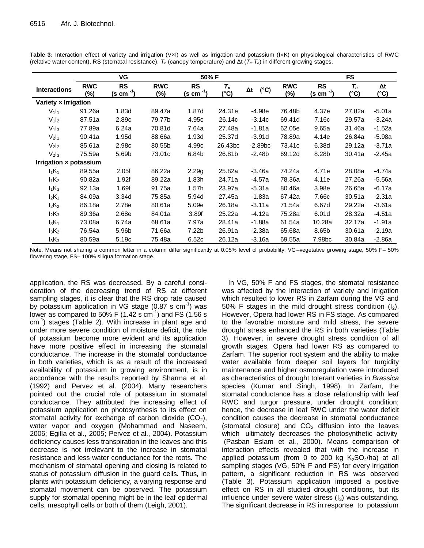|                               | VG<br>50% F          |                            |                      |                            |                        |                             |                      | <b>FS</b>                  |               |                    |  |
|-------------------------------|----------------------|----------------------------|----------------------|----------------------------|------------------------|-----------------------------|----------------------|----------------------------|---------------|--------------------|--|
| <b>Interactions</b>           | <b>RWC</b><br>$(\%)$ | <b>RS</b><br>$(s cm^{-1})$ | <b>RWC</b><br>$(\%)$ | <b>RS</b><br>$(s cm^{-1})$ | $\tau_{\rm c}$<br>(°C) | $(^{\circ}C)$<br>$\Delta t$ | <b>RWC</b><br>$(\%)$ | <b>RS</b><br>$(s cm^{-1})$ | $T_c$<br>(°C) | $\Delta t$<br>(°C) |  |
| Variety x Irrigation          |                      |                            |                      |                            |                        |                             |                      |                            |               |                    |  |
| $V_1I_1$                      | 91.26a               | 1.83d                      | 89.47a               | 1.87d                      | 24.31e                 | $-4.98e$                    | 76.48b               | 4.37e                      | 27.82a        | $-5.01a$           |  |
| $V_1I_2$                      | 87.51a               | 2.89c                      | 79.77b               | 4.95c                      | 26.14c                 | $-3.14c$                    | 69.41d               | 7.16c                      | 29.57a        | $-3.24a$           |  |
| $V_1I_3$                      | 77.89a               | 6.24a                      | 70.81d               | 7.64a                      | 27.48a                 | $-1.81a$                    | 62.05e               | 9.65a                      | 31.46a        | $-1.52a$           |  |
| $V_2I_1$                      | 90.41a               | 1.95d                      | 88.66a               | 1.93d                      | 25.37d                 | $-3.91d$                    | 78.89a               | 4.14e                      | 26.84a        | $-5.98a$           |  |
| $V_2I_2$                      | 85.61a               | 2.98c                      | 80.55b               | 4.99c                      | 26.43bc                | $-2.89bc$                   | 73.41c               | 6.38d                      | 29.12a        | -3.71a             |  |
| $V_2I_3$                      | 75.59a               | 5.69b                      | 73.01c               | 6.84b                      | 26.81b                 | $-2.48b$                    | 69.12d               | 8.28b                      | 30.41a        | $-2.45a$           |  |
| Irrigation x potassium        |                      |                            |                      |                            |                        |                             |                      |                            |               |                    |  |
| $I_1K_1$                      | 89.55a               | 2.05f                      | 86.22a               | 2.29g                      | 25.82a                 | $-3.46a$                    | 74.24a               | 4.71e                      | 28.08a        | $-4.74a$           |  |
| $I_1K_2$                      | 90.82a               | 1.92f                      | 89.22a               | 1.83h                      | 24.71a                 | $-4.57a$                    | 78.36a               | 4.11e                      | 27.26a        | $-5.56a$           |  |
| $I_1K_3$                      | 92.13a               | 1.69f                      | 91.75a               | 1.57h                      | 23.97a                 | $-5.31a$                    | 80.46a               | 3.98e                      | 26.65a        | -6.17a             |  |
| $I_2K_1$                      | 84.09a               | 3.34d                      | 75.85a               | 5.94d                      | 27.45a                 | $-1.83a$                    | 67.42a               | 7.66c                      | 30.51a        | $-2.31a$           |  |
| $I_2K_2$                      | 86.18a               | 2.78e                      | 80.61a               | 5.09e                      | 26.18a                 | $-3.11a$                    | 71.54a               | 6.67d                      | 29.22a        | $-3.61a$           |  |
| $I_2K_3$                      | 89.36a               | 2.68e                      | 84.01a               | 3.89f                      | 25.22a                 | -4.12a                      | 75.28a               | 6.01d                      | 28.32a        | $-4.51a$           |  |
| 1 <sub>3</sub> K <sub>1</sub> | 73.08a               | 6.74a                      | 68.61a               | 7.97a                      | 28.41a                 | $-1.88a$                    | 61.54a               | 10.28a                     | 32.17a        | $-1.91a$           |  |
| $I_3K_2$                      | 76.54a               | 5.96b                      | 71.66a               | 7.22b                      | 26.91a                 | $-2.38a$                    | 65.68a               | 8.65b                      | 30.61a        | $-2.19a$           |  |
| $I_3K_3$                      | 80.59a               | 5.19c                      | 75.48a               | 6.52c                      | 26.12a                 | $-3.16a$                    | 69.55a               | 7.98bc                     | 30.84a        | -2.86a             |  |

**Table 3:** Interaction effect of variety and irrigation (V×I) as well as irrigation and potassium (I×K) on physiological characteristics of RWC (relative water content), RS (stomatal resistance), *T<sup>c</sup>* (canopy temperature) and Δt (*Tc*-*Ta*) in different growing stages.

Note. Means not sharing a common letter in a column differ significantly at 0.05% level of probability. VG–vegetative growing stage, 50% F– 50% flowering stage, FS– 100% siliqua formation stage.

application, the RS was decreased. By a careful consideration of the decreasing trend of RS at different sampling stages, it is clear that the RS drop rate caused by potassium application in VG stage (0.87 s cm<sup>-1</sup>) was lower as compared to 50% F (1.42 s  $\text{cm}^{-1}$ ) and FS (1.56 s cm<sup>-1</sup>) stages (Table 2). With increase in plant age and under more severe condition of moisture deficit, the role of potassium become more evident and its application have more positive effect in increasing the stomatal conductance. The increase in the stomatal conductance in both varieties, which is as a result of the increased availability of potassium in growing environment, is in accordance with the results reported by Sharma et al. (1992) and Pervez et al. (2004). Many researchers pointed out the crucial role of potassium in stomatal conductance. They attributed the increasing effect of potassium application on photosynthesis to its effect on stomatal activity for exchange of carbon dioxide  $(CO<sub>2</sub>)$ , water vapor and oxygen (Mohammad and Naseem, 2006; Egilla et al., 2005; Pervez et al., 2004). Potassium deficiency causes less transpiration in the leaves and this decrease is not irrelevant to the increase in stomatal resistance and less water conductance for the roots. The mechanism of stomatal opening and closing is related to status of potassium diffusion in the guard cells. Thus, in plants with potassium deficiency, a varying response and stomatal movement can be observed. The potassium supply for stomatal opening might be in the leaf epidermal cells, mesophyll cells or both of them (Leigh, 2001).

In VG, 50% F and FS stages, the stomatal resistance was affected by the interaction of variety and irrigation which resulted to lower RS in Zarfam during the VG and 50% F stages in the mild drought stress condition  $(I_2)$ . However, Opera had lower RS in FS stage. As compared to the favorable moisture and mild stress, the severe drought stress enhanced the RS in both varieties (Table 3). However, in severe drought stress condition of all growth stages, Opera had lower RS as compared to Zarfam. The superior root system and the ability to make water available from deeper soil layers for turgidity maintenance and higher osmoregulation were introduced as characteristics of drought tolerant varieties in *Brassica* species (Kumar and Singh, 1998). In Zarfam, the stomatal conductance has a close relationship with leaf RWC and turgor pressure, under drought condition; hence, the decrease in leaf RWC under the water deficit condition causes the decrease in stomatal conductance (stomatal closure) and  $CO<sub>2</sub>$  diffusion into the leaves which ultimately decreases the photosynthetic activity (Pasban Eslam et al., 2000). Means comparison of interaction effects revealed that with the increase in applied potassium (from 0 to 200 kg  $K_2SO_4/ha$ ) at all sampling stages (VG, 50% F and FS) for every irrigation pattern, a significant reduction in RS was observed (Table 3). Potassium application imposed a positive effect on RS in all studied drought conditions, but its influence under severe water stress  $(I_3)$  was outstanding. The significant decrease in RS in response to potassium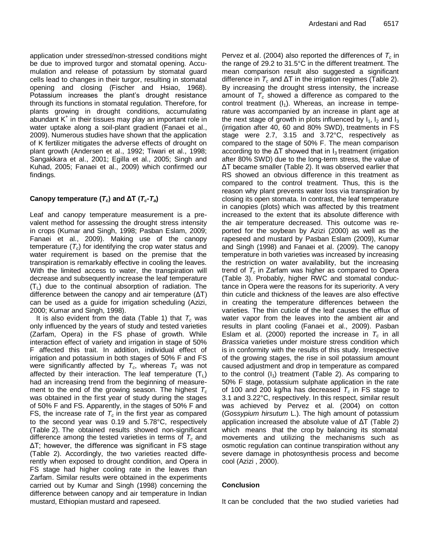application under stressed/non-stressed conditions might be due to improved turgor and stomatal opening. Accumulation and release of potassium by stomatal guard cells lead to changes in their turgor, resulting in stomatal opening and closing (Fischer and Hsiao, 1968). Potassium increases the plant's drought resistance through its functions in stomatal regulation. Therefore, for plants growing in drought conditions, accumulating abundant K<sup>+</sup> in their tissues may play an important role in water uptake along a soil-plant gradient (Fanaei et al., 2009). Numerous studies have shown that the application of K fertilizer mitigates the adverse effects of drought on plant growth (Andersen et al., 1992; Tiwari et al., 1998; Sangakkara et al., 2001; Egilla et al., 2005; Singh and Kuhad, 2005; Fanaei et al., 2009) which confirmed our findings.

# Canopy temperature  $(T_c)$  and  $\Delta T$   $(T_c - T_a)$

Leaf and canopy temperature measurement is a prevalent method for assessing the drought stress intensity in crops (Kumar and Singh, 1998; Pasban Eslam, 2009; Fanaei et al., 2009). Making use of the canopy temperature (*Tc*) for identifying the crop water status and water requirement is based on the premise that the transpiration is remarkably effective in cooling the leaves. With the limited access to water, the transpiration will decrease and subsequently increase the leaf temperature  $(T<sub>1</sub>)$  due to the continual absorption of radiation. The difference between the canopy and air temperature (ΔT) can be used as a guide for irrigation scheduling (Azizi, 2000; Kumar and Singh, 1998).

It is also evident from the data (Table 1) that  $T_c$  was only influenced by the years of study and tested varieties (Zarfam, Opera) in the FS phase of growth. While interaction effect of variety and irrigation in stage of 50% F affected this trait. In addition, individual effect of irrigation and potassium in both stages of 50% F and FS were significantly affected by  $T_c$ , whereas  $T_c$  was not affected by their interaction. The leaf temperature  $(T_1)$ had an increasing trend from the beginning of measurement to the end of the growing season. The highest *T<sup>c</sup>* was obtained in the first year of study during the stages of 50% F and FS. Apparently, in the stages of 50% F and FS, the increase rate of  $T_c$  in the first year as compared to the second year was 0.19 and 5.78°C, respectively (Table 2). The obtained results showed non-significant difference among the tested varieties in terms of *T<sup>c</sup>* and ΔT; however, the difference was significant in FS stage (Table 2). Accordingly, the two varieties reacted differently when exposed to drought condition, and Opera in FS stage had higher cooling rate in the leaves than Zarfam. Similar results were obtained in the experiments carried out by Kumar and Singh (1998) concerning the difference between canopy and air temperature in Indian mustard, Ethiopian mustard and rapeseed.

Pervez et al. (2004) also reported the differences of *T<sup>c</sup>* in the range of 29.2 to 31.5°C in the different treatment. The mean comparison result also suggested a significant difference in  $T_c$  and  $\Delta T$  in the irrigation regimes (Table 2). By increasing the drought stress intensity, the increase amount of *T<sup>c</sup>* showed a difference as compared to the control treatment  $(I_1)$ . Whereas, an increase in temperature was accompanied by an increase in plant age at the next stage of growth in plots influenced by  $I_1$ ,  $I_2$  and  $I_3$ (irrigation after 40, 60 and 80% SWD), treatments in FS stage were 2.7, 3.15 and 3.72°C, respectively as compared to the stage of 50% F. The mean comparison according to the  $\Delta T$  showed that in  $I_3$  treatment (irrigation after 80% SWD) due to the long-term stress, the value of ΔT became smaller (Table 2). It was observed earlier that RS showed an obvious difference in this treatment as compared to the control treatment. Thus, this is the reason why plant prevents water loss via transpiration by closing its open stomata. In contrast, the leaf temperature in canopies (plots) which was affected by this treatment increased to the extent that its absolute difference with the air temperature decreased. This outcome was reported for the soybean by Azizi (2000) as well as the rapeseed and mustard by Pasban Eslam (2009), Kumar and Singh (1998) and Fanaei et al. (2009). The canopy temperature in both varieties was increased by increasing the restriction on water availability, but the increasing trend of *T<sup>c</sup>* in Zarfam was higher as compared to Opera (Table 3). Probably, higher RWC and stomatal conductance in Opera were the reasons for its superiority. A very thin cuticle and thickness of the leaves are also effective in creating the temperature differences between the varieties. The thin cuticle of the leaf causes the efflux of water vapor from the leaves into the ambient air and results in plant cooling (Fanaei et al., 2009). Pasban Eslam et al. (2000) reported the increase in  $T_c$  in all *Brassica* varieties under moisture stress condition which is in conformity with the results of this study. Irrespective of the growing stages, the rise in soil potassium amount caused adjustment and drop in temperature as compared to the control  $(I_1)$  treatment (Table 2). As comparing to 50% F stage, potassium sulphate application in the rate of 100 and 200 kg/ha has decreased *T<sup>c</sup>* in FS stage to 3.1 and 3.22°C, respectively. In this respect, similar result was achieved by Pervez et al. (2004) on cotton (*Gossypium hirsutum* L.). The high amount of potassium application increased the absolute value of ΔT (Table 2) which means that the crop by balancing its stomatal movements and utilizing the mechanisms such as osmotic regulation can continue transpiration without any severe damage in photosynthesis process and become cool (Azizi , 2000).

# **Conclusion**

It can be concluded that the two studied varieties had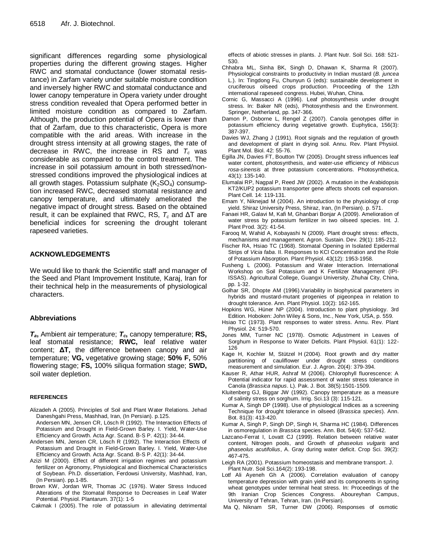significant differences regarding some physiological properties during the different growing stages. Higher RWC and stomatal conductance (lower stomatal resistance) in Zarfam variety under suitable moisture condition and inversely higher RWC and stomatal conductance and lower canopy temperature in Opera variety under drought stress condition revealed that Opera performed better in limited moisture condition as compared to Zarfam. Although, the production potential of Opera is lower than that of Zarfam, due to this characteristic, Opera is more compatible with the arid areas. With increase in the drought stress intensity at all growing stages, the rate of decrease in RWC, the increase in RS and *T<sup>c</sup>* was considerable as compared to the control treatment. The increase in soil potassium amount in both stressed/nonstressed conditions improved the physiological indices at all growth stages. Potassium sulphate  $(K_2SO_4)$  consumption increased RWC, decreased stomatal resistance and canopy temperature, and ultimately ameliorated the negative impact of drought stress. Based on the obtained result, it can be explained that RWC, RS, *T<sup>c</sup>* and ΔT are beneficial indices for screening the drought tolerant rapeseed varieties.

# **ACKNOWLEDGEMENTS**

We would like to thank the Scientific staff and manager of the Seed and Plant Improvement Institute, Karaj, Iran for their technical help in the measurements of physiological characters.

# **Abbreviations**

*Ta***,** Ambient air temperature; *Tc***,** canopy temperature; **RS,** leaf stomatal resistance; **RWC,** leaf relative water content; **ΔT,** the difference between canopy and air temperature; **VG,** vegetative growing stage; **50% F,** 50% flowering stage; **FS,** 100% siliqua formation stage; **SWD,** soil water depletion.

# **REFERENCES**

- Alizadeh A (2005). Principles of Soil and Plant Water Relations*.* Jehad Daneshgahi Press, Mashhad, Iran, (In Persian). p.125.
- Andersen MN, Jensen CR, Lösch R (1992). The Interaction Effects of Potassium and Drought in Field-Grown Barley. I. Yield, Water-Use Efficiency and Growth. Acta Agr. Scand. B-S P. 42(1): 34-44.
- Andersen MN, Jensen CR, Lösch R (1992). The Interaction Effects of Potassium and Drought in Field-Grown Barley. I. Yield, Water-Use Efficiency and Growth. Acta Agr. Scand. B-S P. 42(1): 34-44.
- Azizi M (2000). Effect of different irrigation regimes and potassium fertilizer on Agronomy, Physiological and Biochemical Characteristics of Soybean. Ph.D. dissertation, Ferdowsi University, Mashhad, Iran, (In Persian). pp.1-85.
- Brown KW, Jordan WR, Thomas JC (1976). Water Stress Induced Alterations of the Stomatal Response to Decreases in Leaf Water Potential. Physiol. Plantarum. 37(1): 1-5

Cakmak I (2005). The role of potassium in alleviating detrimental

effects of abiotic stresses in plants. J. Plant Nutr. Soil Sci. 168: 521- 530.

- Chhabra ML, Sinha BK, Singh D, Dhawan K, Sharma R (2007). Physiological constraints to productivity in Indian mustard (*B. juncea* L.). In: Tingdong Fu, Chunyun G (eds): sustainable development in cruciferous oilseed crops production. Proceeding of the 12th international rapeseed congress. Hubei, Wuhan, China.
- Cornic G, Massacci A (1996). Leaf photosynthesis under drought stress. In: Baker NR (eds), Photosynthesis and the Environment. Springer, Netherland, pp. 347-366.
- Damon P, Osborne L, Rengel Z (2007). Canola genotypes differ in potassium efficiency during vegetative growth. Euphytica, 156(3): 387-397.
- Davies WJ, Zhang J (1991). Root signals and the regulation of growth and development of plant in drying soil. Annu. Rev. Plant Physiol. Plant Mol. Biol. 42: 55-76.
- Egilla JN, Davies FT, Boutton TW (2005). Drought stress influences leaf water content, photosynthesis, and water-use efficiency of *Hibiscus rosa-sinensis* at three potassium concentrations. Photosynthetica, 43(1): 135-140.
- Elumalai RP, Nagpal P, Reed JW (2002). A mutation in the Arabidopsis KT2/KUP2 potassium transporter gene affects shoots cell expansion. Plant Cell. 14: 119-131.
- Emam Y, Niknejad M (2004). An introduction to the physiology of crop yield. Shiraz University Press, Shiraz, Iran, (In Persian). p. 571.
- Fanaei HR, Galavi M, Kafi M, Ghanbari Bonjar A (2009). Amelioration of water stress by potassium fertilizer in two oilseed species. Int. J. Plant Prod. 3(2): 41-54.
- Farooq M, Wahid A, Kobayashi N (2009). Plant drought stress: effects, mechanisms and management. Agron. Sustain. Dev. 29(1): 185-212.
- Fischer RA, Hsiao TC (1968). Stomatal Opening in Isolated Epidermal Strips of *Vicia faba*. II. Responses to KCl Concentration and the Role of Potassium Absorption. Plant Physiol. 43(12): 1953-1958.
- Fusheng L (2006). Potassium and Water Interaction. International Workshop on Soil Potassium and K Fertilizer Management (IPI-ISSAS). Agricultural College, Guangxi University, Zhuhai City, China, pp. 1-32.
- Golhar SR, Dhopte AM (1996).Variability in biophysical parameters in hybrids and mustard-mutant progenies of pigeonpea in relation to drought tolerance. Ann. Plant Physiol. 10(2): 162-165.
- Hopkins WG, Hüner NP (2004). Introduction to plant physiology. 3rd Edition. Hoboken: John Wiley & Sons, Inc., New York, USA, p. 559.
- Hsiao TC (1973). Plant responses to water stress. Annu. Rev. Plant Physiol. 24: 519-570.
- Jones MM, Turner NC (1978). Osmotic Adjustment in Leaves of Sorghum in Response to Water Deficits. Plant Physiol. 61(1): 122- 126
- Kage H, Kochler M, Stützel H (2004). Root growth and dry matter partitioning of cauliflower under drought stress conditions measurement and simulation. Eur. J. Agron. 20(4): 379-394.
- Kauser R, Athar HUR, Ashraf M (2006). Chlorophyll fluorescence: A Potential indicator for rapid assessment of water stress tolerance in Canola (*Brassica napus*. L). Pak. J. Bot. 38(5):1501-1509.
- Kluitenberg GJ, Biggar JW (1992). Canopy temperature as a measure of salinity stress on sorghum. Irrig. Sci.13 (3): 115-121.
- Kumar A, Singh DP (1998). Use of physiological Indices as a screening Technique for drought tolerance in oilseed (*Brassica species*). Ann. Bot. 81(3): 413-420.
- Kumar A, Singh P, Singh DP, Singh H, Sharma HC (1984). Differences in osmoregulation in *Brassica* species. Ann. Bot. 54(4): 537-542.
- Lazcano-Ferrat I, Lovatt CJ (1999). Relation between relative water content, Nitrogen pools, and Growth of *phaseolus vulgaris* and *phaseolus acutifolius*, A. Gray during water deficit. Crop Sci. 39(2): 467-475.
- Leigh RA (2001). Potassium homeostasis and membrane transport. J. Plant Nutr. Soil Sci.164(2): 193-198.
- Lotf Ali Ayeneh Gh A (2006). Correlation evaluation of canopy temperature depression with grain yield and its components in spring wheat genotypes under terminal heat stress. In: Proceedings of the 9th Iranian Crop Sciences Congress. Aboureyhan Campus, University of Tehran, Tehran, Iran. (In Persian).
- Ma Q, Niknam SR, Turner DW (2006). Responses of osmotic